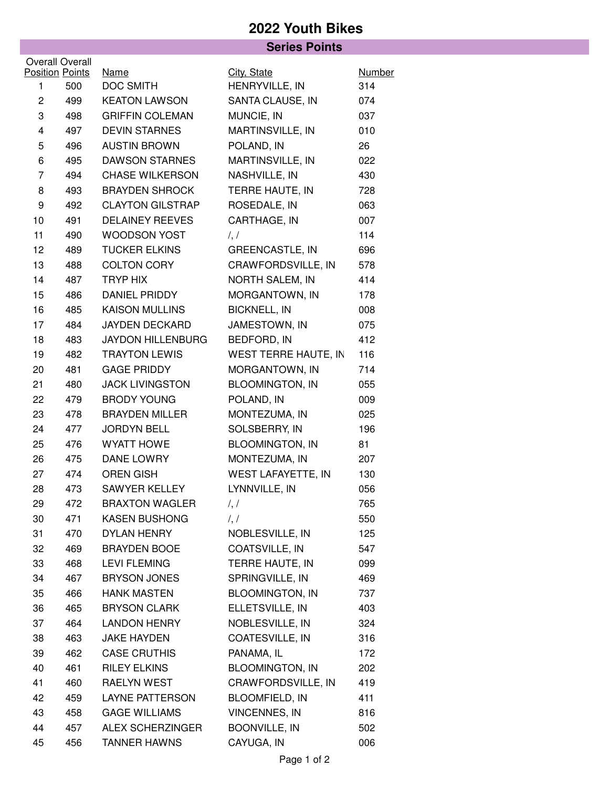## **2022 Youth Bikes**

|                        |                        | <b>Series Points</b>     |                           |               |  |  |  |  |
|------------------------|------------------------|--------------------------|---------------------------|---------------|--|--|--|--|
| <b>Overall Overall</b> |                        |                          |                           |               |  |  |  |  |
|                        | <b>Position Points</b> | Name                     | City, State               | <b>Number</b> |  |  |  |  |
| 1                      | 500                    | <b>DOC SMITH</b>         | HENRYVILLE, IN            | 314           |  |  |  |  |
| $\overline{c}$         | 499                    | <b>KEATON LAWSON</b>     | SANTA CLAUSE, IN          | 074           |  |  |  |  |
| 3                      | 498                    | <b>GRIFFIN COLEMAN</b>   | MUNCIE, IN                | 037           |  |  |  |  |
| 4                      | 497                    | <b>DEVIN STARNES</b>     | MARTINSVILLE, IN          | 010           |  |  |  |  |
| 5                      | 496                    | <b>AUSTIN BROWN</b>      | POLAND, IN                | 26            |  |  |  |  |
| 6                      | 495                    | <b>DAWSON STARNES</b>    | MARTINSVILLE, IN          | 022           |  |  |  |  |
| 7                      | 494                    | <b>CHASE WILKERSON</b>   | NASHVILLE, IN             | 430           |  |  |  |  |
| 8                      | 493                    | <b>BRAYDEN SHROCK</b>    | TERRE HAUTE, IN           | 728           |  |  |  |  |
| 9                      | 492                    | <b>CLAYTON GILSTRAP</b>  | ROSEDALE, IN              | 063           |  |  |  |  |
| 10                     | 491                    | <b>DELAINEY REEVES</b>   | CARTHAGE, IN              | 007           |  |  |  |  |
| 11                     | 490                    | WOODSON YOST             | $\frac{1}{2}$             | 114           |  |  |  |  |
| 12                     | 489                    | <b>TUCKER ELKINS</b>     | <b>GREENCASTLE, IN</b>    | 696           |  |  |  |  |
| 13                     | 488                    | <b>COLTON CORY</b>       | CRAWFORDSVILLE, IN        | 578           |  |  |  |  |
| 14                     | 487                    | <b>TRYP HIX</b>          | NORTH SALEM, IN           | 414           |  |  |  |  |
| 15                     | 486                    | DANIEL PRIDDY            | MORGANTOWN, IN            | 178           |  |  |  |  |
| 16                     | 485                    | <b>KAISON MULLINS</b>    | <b>BICKNELL, IN</b>       | 008           |  |  |  |  |
| 17                     | 484                    | <b>JAYDEN DECKARD</b>    | JAMESTOWN, IN             | 075           |  |  |  |  |
| 18                     | 483                    | <b>JAYDON HILLENBURG</b> | BEDFORD, IN               | 412           |  |  |  |  |
| 19                     | 482                    | <b>TRAYTON LEWIS</b>     | WEST TERRE HAUTE, IN      | 116           |  |  |  |  |
| 20                     | 481                    | <b>GAGE PRIDDY</b>       | MORGANTOWN, IN            | 714           |  |  |  |  |
| 21                     | 480                    | <b>JACK LIVINGSTON</b>   | <b>BLOOMINGTON, IN</b>    | 055           |  |  |  |  |
| 22                     | 479                    | <b>BRODY YOUNG</b>       | POLAND, IN                | 009           |  |  |  |  |
| 23                     | 478                    | <b>BRAYDEN MILLER</b>    | MONTEZUMA, IN             | 025           |  |  |  |  |
| 24                     | 477                    | <b>JORDYN BELL</b>       | SOLSBERRY, IN             | 196           |  |  |  |  |
| 25                     | 476                    | <b>WYATT HOWE</b>        | <b>BLOOMINGTON, IN</b>    | 81            |  |  |  |  |
| 26                     | 475                    | DANE LOWRY               | MONTEZUMA, IN             | 207           |  |  |  |  |
| 27                     | 474                    | <b>OREN GISH</b>         | <b>WEST LAFAYETTE, IN</b> | 130           |  |  |  |  |
| 28                     | 473                    | <b>SAWYER KELLEY</b>     | LYNNVILLE, IN             | 056           |  |  |  |  |
| 29                     | 472                    | <b>BRAXTON WAGLER</b>    | $\frac{1}{2}$             | 765           |  |  |  |  |
| 30                     | 471                    | <b>KASEN BUSHONG</b>     | $\frac{1}{2}$             | 550           |  |  |  |  |
| 31                     | 470                    | <b>DYLAN HENRY</b>       | NOBLESVILLE, IN           | 125           |  |  |  |  |
| 32                     | 469                    | <b>BRAYDEN BOOE</b>      | COATSVILLE, IN            | 547           |  |  |  |  |
| 33                     | 468                    | <b>LEVI FLEMING</b>      | TERRE HAUTE, IN           | 099           |  |  |  |  |
| 34                     | 467                    | <b>BRYSON JONES</b>      | SPRINGVILLE, IN           | 469           |  |  |  |  |
| 35                     | 466                    | <b>HANK MASTEN</b>       | <b>BLOOMINGTON, IN</b>    | 737           |  |  |  |  |
| 36                     | 465                    | <b>BRYSON CLARK</b>      | ELLETSVILLE, IN           | 403           |  |  |  |  |
| 37                     | 464                    | <b>LANDON HENRY</b>      | NOBLESVILLE, IN           | 324           |  |  |  |  |
| 38                     | 463                    | <b>JAKE HAYDEN</b>       | COATESVILLE, IN           | 316           |  |  |  |  |
| 39                     | 462                    | <b>CASE CRUTHIS</b>      | PANAMA, IL                | 172           |  |  |  |  |
| 40                     | 461                    | <b>RILEY ELKINS</b>      | <b>BLOOMINGTON, IN</b>    | 202           |  |  |  |  |
| 41                     | 460                    | RAELYN WEST              | CRAWFORDSVILLE, IN        | 419           |  |  |  |  |
| 42                     | 459                    | LAYNE PATTERSON          | <b>BLOOMFIELD, IN</b>     | 411           |  |  |  |  |
| 43                     | 458                    | <b>GAGE WILLIAMS</b>     | <b>VINCENNES, IN</b>      | 816           |  |  |  |  |
| 44                     | 457                    | <b>ALEX SCHERZINGER</b>  | BOONVILLE, IN             | 502           |  |  |  |  |
| 45                     | 456                    | <b>TANNER HAWNS</b>      | CAYUGA, IN                | 006           |  |  |  |  |